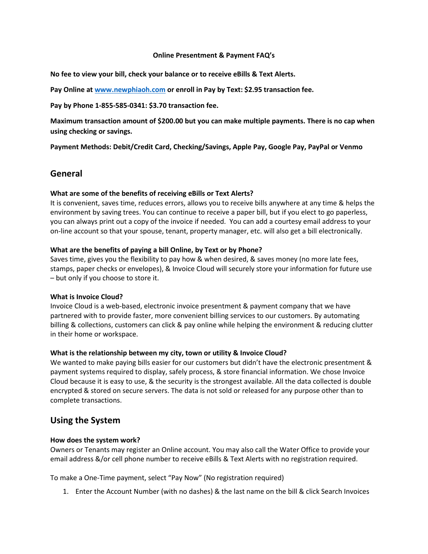#### **Online Presentment & Payment FAQ's**

**No fee to view your bill, check your balance or to receive eBills & Text Alerts.** 

**Pay Online at [www.newphiaoh.com](http://www.newphiaoh.com/) or enroll in Pay by Text: \$2.95 transaction fee.** 

**Pay by Phone 1-855-585-0341: \$3.70 transaction fee.**

**Maximum transaction amount of \$200.00 but you can make multiple payments. There is no cap when using checking or savings.**

**Payment Methods: Debit/Credit Card, Checking/Savings, Apple Pay, Google Pay, PayPal or Venmo**

## **General**

#### **What are some of the benefits of receiving eBills or Text Alerts?**

It is convenient, saves time, reduces errors, allows you to receive bills anywhere at any time & helps the environment by saving trees. You can continue to receive a paper bill, but if you elect to go paperless, you can always print out a copy of the invoice if needed. You can add a courtesy email address to your on-line account so that your spouse, tenant, property manager, etc. will also get a bill electronically.

#### **What are the benefits of paying a bill Online, by Text or by Phone?**

Saves time, gives you the flexibility to pay how & when desired, & saves money (no more late fees, stamps, paper checks or envelopes), & Invoice Cloud will securely store your information for future use – but only if you choose to store it.

#### **What is Invoice Cloud?**

Invoice Cloud is a web-based, electronic invoice presentment & payment company that we have partnered with to provide faster, more convenient billing services to our customers. By automating billing & collections, customers can click & pay online while helping the environment & reducing clutter in their home or workspace.

#### **What is the relationship between my city, town or utility & Invoice Cloud?**

We wanted to make paying bills easier for our customers but didn't have the electronic presentment & payment systems required to display, safely process, & store financial information. We chose Invoice Cloud because it is easy to use, & the security is the strongest available. All the data collected is double encrypted & stored on secure servers. The data is not sold or released for any purpose other than to complete transactions.

## **Using the System**

#### **How does the system work?**

Owners or Tenants may register an Online account. You may also call the Water Office to provide your email address &/or cell phone number to receive eBills & Text Alerts with no registration required.

To make a One-Time payment, select "Pay Now" (No registration required)

1. Enter the Account Number (with no dashes) & the last name on the bill & click Search Invoices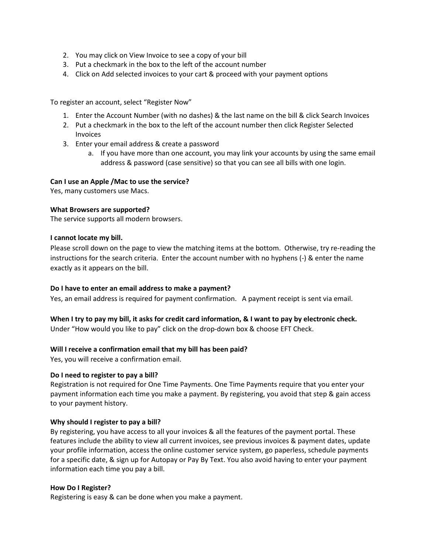- 2. You may click on View Invoice to see a copy of your bill
- 3. Put a checkmark in the box to the left of the account number
- 4. Click on Add selected invoices to your cart & proceed with your payment options

To register an account, select "Register Now"

- 1. Enter the Account Number (with no dashes) & the last name on the bill & click Search Invoices
- 2. Put a checkmark in the box to the left of the account number then click Register Selected Invoices
- 3. Enter your email address & create a password
	- a. If you have more than one account, you may link your accounts by using the same email address & password (case sensitive) so that you can see all bills with one login.

## **Can I use an Apple /Mac to use the service?**

Yes, many customers use Macs.

#### **What Browsers are supported?**

The service supports all modern browsers.

#### **I cannot locate my bill.**

Please scroll down on the page to view the matching items at the bottom. Otherwise, try re-reading the instructions for the search criteria. Enter the account number with no hyphens (-) & enter the name exactly as it appears on the bill.

## **Do I have to enter an email address to make a payment?**

Yes, an email address is required for payment confirmation. A payment receipt is sent via email.

## **When I try to pay my bill, it asks for credit card information, & I want to pay by electronic check.**

Under "How would you like to pay" click on the drop-down box & choose EFT Check.

## **Will I receive a confirmation email that my bill has been paid?**

Yes, you will receive a confirmation email.

#### **Do I need to register to pay a bill?**

Registration is not required for One Time Payments. One Time Payments require that you enter your payment information each time you make a payment. By registering, you avoid that step & gain access to your payment history.

## **Why should I register to pay a bill?**

By registering, you have access to all your invoices & all the features of the payment portal. These features include the ability to view all current invoices, see previous invoices & payment dates, update your profile information, access the online customer service system, go paperless, schedule payments for a specific date, & sign up for Autopay or Pay By Text. You also avoid having to enter your payment information each time you pay a bill.

#### **How Do I Register?**

Registering is easy & can be done when you make a payment.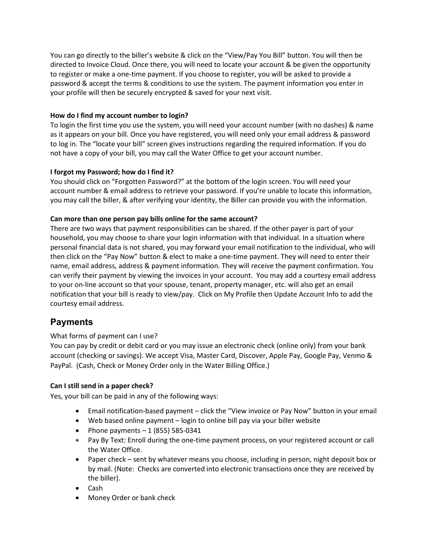You can go directly to the biller's website & click on the "View/Pay You Bill" button. You will then be directed to Invoice Cloud. Once there, you will need to locate your account & be given the opportunity to register or make a one-time payment. If you choose to register, you will be asked to provide a password & accept the terms & conditions to use the system. The payment information you enter in your profile will then be securely encrypted & saved for your next visit.

## **How do I find my account number to login?**

To login the first time you use the system, you will need your account number (with no dashes) & name as it appears on your bill. Once you have registered, you will need only your email address & password to log in. The "locate your bill" screen gives instructions regarding the required information. If you do not have a copy of your bill, you may call the Water Office to get your account number.

## **I forgot my Password; how do I find it?**

You should click on "Forgotten Password?" at the bottom of the login screen. You will need your account number & email address to retrieve your password. If you're unable to locate this information, you may call the biller, & after verifying your identity, the Biller can provide you with the information.

## **Can more than one person pay bills online for the same account?**

There are two ways that payment responsibilities can be shared. If the other payer is part of your household, you may choose to share your login information with that individual. In a situation where personal financial data is not shared, you may forward your email notification to the individual, who will then click on the "Pay Now" button & elect to make a one-time payment. They will need to enter their name, email address, address & payment information. They will receive the payment confirmation. You can verify their payment by viewing the invoices in your account. You may add a courtesy email address to your on-line account so that your spouse, tenant, property manager, etc. will also get an email notification that your bill is ready to view/pay. Click on My Profile then Update Account Info to add the courtesy email address.

## **Payments**

## What forms of payment can I use?

You can pay by credit or debit card or you may issue an electronic check (online only) from your bank account (checking or savings). We accept Visa, Master Card, Discover, Apple Pay, Google Pay, Venmo & PayPal. (Cash, Check or Money Order only in the Water Billing Office.)

## **Can I still send in a paper check?**

Yes, your bill can be paid in any of the following ways:

- Email notification-based payment click the "View invoice or Pay Now" button in your email
- Web based online payment login to online bill pay via your biller website
- Phone payments  $-1$  (855) 585-0341
- Pay By Text: Enroll during the one-time payment process, on your registered account or call the Water Office.
- Paper check sent by whatever means you choose, including in person, night deposit box or by mail. (Note: Checks are converted into electronic transactions once they are received by the biller).
- Cash
- Money Order or bank check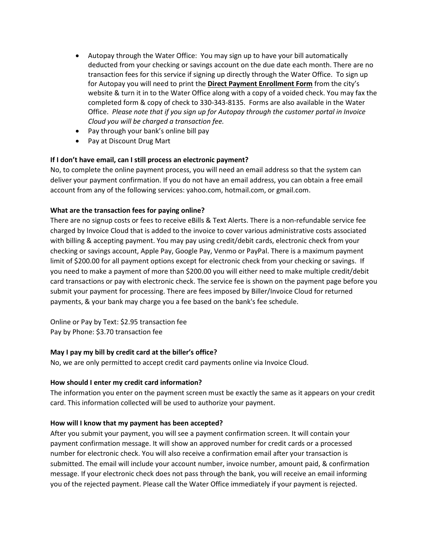- Autopay through the Water Office: You may sign up to have your bill automatically deducted from your checking or savings account on the due date each month. There are no transaction fees for this service if signing up directly through the Water Office. To sign up for Autopay you will need to print the **Direct Payment Enrollment Form** from the city's website & turn it in to the Water Office along with a copy of a voided check. You may fax the completed form & copy of check to 330-343-8135. Forms are also available in the Water Office. *Please note that if you sign up for Autopay through the customer portal in Invoice Cloud you will be charged a transaction fee.*
- Pay through your bank's online bill pay
- Pay at Discount Drug Mart

## **If I don't have email, can I still process an electronic payment?**

No, to complete the online payment process, you will need an email address so that the system can deliver your payment confirmation. If you do not have an email address, you can obtain a free email account from any of the following services: yahoo.com, hotmail.com, or gmail.com.

## **What are the transaction fees for paying online?**

There are no signup costs or fees to receive eBills & Text Alerts. There is a non-refundable service fee charged by Invoice Cloud that is added to the invoice to cover various administrative costs associated with billing & accepting payment. You may pay using credit/debit cards, electronic check from your checking or savings account, Apple Pay, Google Pay, Venmo or PayPal. There is a maximum payment limit of \$200.00 for all payment options except for electronic check from your checking or savings. If you need to make a payment of more than \$200.00 you will either need to make multiple credit/debit card transactions or pay with electronic check. The service fee is shown on the payment page before you submit your payment for processing. There are fees imposed by Biller/Invoice Cloud for returned payments, & your bank may charge you a fee based on the bank's fee schedule.

Online or Pay by Text: \$2.95 transaction fee Pay by Phone: \$3.70 transaction fee

## **May I pay my bill by credit card at the biller's office?**

No, we are only permitted to accept credit card payments online via Invoice Cloud.

## **How should I enter my credit card information?**

The information you enter on the payment screen must be exactly the same as it appears on your credit card. This information collected will be used to authorize your payment.

#### **How will I know that my payment has been accepted?**

After you submit your payment, you will see a payment confirmation screen. It will contain your payment confirmation message. It will show an approved number for credit cards or a processed number for electronic check. You will also receive a confirmation email after your transaction is submitted. The email will include your account number, invoice number, amount paid, & confirmation message. If your electronic check does not pass through the bank, you will receive an email informing you of the rejected payment. Please call the Water Office immediately if your payment is rejected.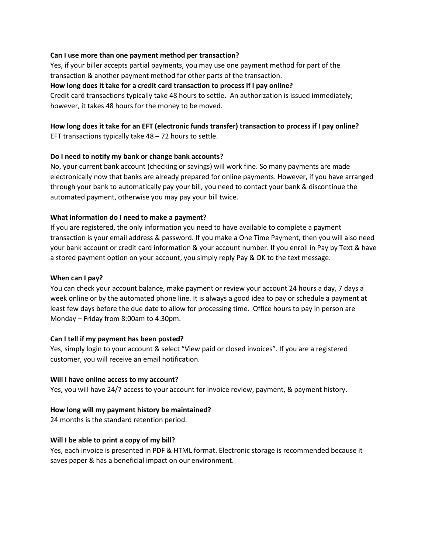#### **Can I use more than one payment method per transaction?**

Yes, if your biller accepts partial payments, you may use one payment method for part of the transaction & another payment method for other parts of the transaction.

#### **How long does it take for a credit card transaction to process if I pay online?**

Credit card transactions typically take 48 hours to settle. An authorization is issued immediately; however, it takes 48 hours for the money to be moved.

# **How long does it take for an EFT (electronic funds transfer) transaction to process if I pay online?**

EFT transactions typically take 48 – 72 hours to settle.

#### **Do I need to notify my bank or change bank accounts?**

No, your current bank account (checking or savings) will work fine. So many payments are made electronically now that banks are already prepared for online payments. However, if you have arranged through your bank to automatically pay your bill, you need to contact your bank & discontinue the automated payment, otherwise you may pay your bill twice.

#### **What information do I need to make a payment?**

If you are registered, the only information you need to have available to complete a payment transaction is your email address & password. If you make a One Time Payment, then you will also need your bank account or credit card information & your account number. If you enroll in Pay by Text & have a stored payment option on your account, you simply reply Pay & OK to the text message.

#### **When can I pay?**

You can check your account balance, make payment or review your account 24 hours a day, 7 days a week online or by the automated phone line. It is always a good idea to pay or schedule a payment at least few days before the due date to allow for processing time. Office hours to pay in person are Monday – Friday from 8:00am to 4:30pm.

## **Can I tell if my payment has been posted?**

Yes, simply login to your account & select "View paid or closed invoices". If you are a registered customer, you will receive an email notification.

#### **Will I have online access to my account?**

Yes, you will have 24/7 access to your account for invoice review, payment, & payment history.

## **How long will my payment history be maintained?**

24 months is the standard retention period.

#### **Will I be able to print a copy of my bill?**

Yes, each invoice is presented in PDF & HTML format. Electronic storage is recommended because it saves paper & has a beneficial impact on our environment.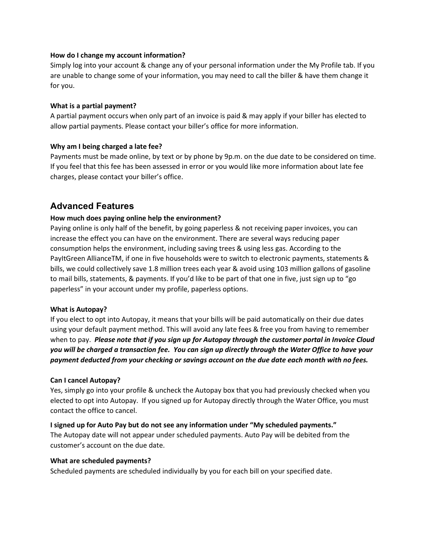### **How do I change my account information?**

Simply log into your account & change any of your personal information under the My Profile tab. If you are unable to change some of your information, you may need to call the biller & have them change it for you.

#### **What is a partial payment?**

A partial payment occurs when only part of an invoice is paid & may apply if your biller has elected to allow partial payments. Please contact your biller's office for more information.

## **Why am I being charged a late fee?**

Payments must be made online, by text or by phone by 9p.m. on the due date to be considered on time. If you feel that this fee has been assessed in error or you would like more information about late fee charges, please contact your biller's office.

## **Advanced Features**

## **How much does paying online help the environment?**

Paying online is only half of the benefit, by going paperless & not receiving paper invoices, you can increase the effect you can have on the environment. There are several ways reducing paper consumption helps the environment, including saving trees & using less gas. According to the PayItGreen AllianceTM, if one in five households were to switch to electronic payments, statements & bills, we could collectively save 1.8 million trees each year & avoid using 103 million gallons of gasoline to mail bills, statements, & payments. If you'd like to be part of that one in five, just sign up to "go paperless" in your account under my profile, paperless options.

#### **What is Autopay?**

If you elect to opt into Autopay, it means that your bills will be paid automatically on their due dates using your default payment method. This will avoid any late fees & free you from having to remember when to pay. *Please note that if you sign up for Autopay through the customer portal in Invoice Cloud you will be charged a transaction fee. You can sign up directly through the Water Office to have your payment deducted from your checking or savings account on the due date each month with no fees.*

#### **Can I cancel Autopay?**

Yes, simply go into your profile & uncheck the Autopay box that you had previously checked when you elected to opt into Autopay. If you signed up for Autopay directly through the Water Office, you must contact the office to cancel.

## **I signed up for Auto Pay but do not see any information under "My scheduled payments."**

The Autopay date will not appear under scheduled payments. Auto Pay will be debited from the customer's account on the due date.

#### **What are scheduled payments?**

Scheduled payments are scheduled individually by you for each bill on your specified date.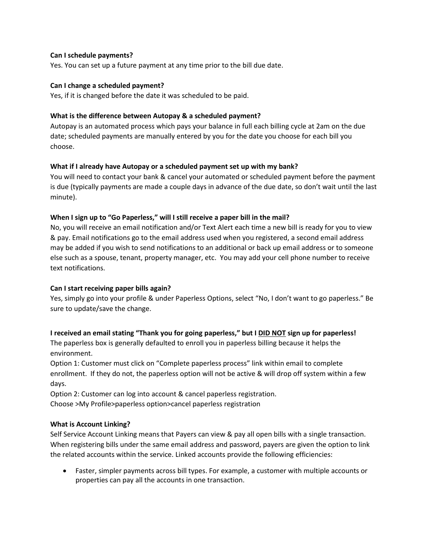### **Can I schedule payments?**

Yes. You can set up a future payment at any time prior to the bill due date.

#### **Can I change a scheduled payment?**

Yes, if it is changed before the date it was scheduled to be paid.

### **What is the difference between Autopay & a scheduled payment?**

Autopay is an automated process which pays your balance in full each billing cycle at 2am on the due date; scheduled payments are manually entered by you for the date you choose for each bill you choose.

## **What if I already have Autopay or a scheduled payment set up with my bank?**

You will need to contact your bank & cancel your automated or scheduled payment before the payment is due (typically payments are made a couple days in advance of the due date, so don't wait until the last minute).

#### **When I sign up to "Go Paperless," will I still receive a paper bill in the mail?**

No, you will receive an email notification and/or Text Alert each time a new bill is ready for you to view & pay. Email notifications go to the email address used when you registered, a second email address may be added if you wish to send notifications to an additional or back up email address or to someone else such as a spouse, tenant, property manager, etc. You may add your cell phone number to receive text notifications.

## **Can I start receiving paper bills again?**

Yes, simply go into your profile & under Paperless Options, select "No, I don't want to go paperless." Be sure to update/save the change.

## **I received an email stating "Thank you for going paperless," but I DID NOT sign up for paperless!**

The paperless box is generally defaulted to enroll you in paperless billing because it helps the environment.

Option 1: Customer must click on "Complete paperless process" link within email to complete enrollment. If they do not, the paperless option will not be active & will drop off system within a few days.

Option 2: Customer can log into account & cancel paperless registration. Choose >My Profile>paperless option>cancel paperless registration

#### **What is Account Linking?**

Self Service Account Linking means that Payers can view & pay all open bills with a single transaction. When registering bills under the same email address and password, payers are given the option to link the related accounts within the service. Linked accounts provide the following efficiencies:

• Faster, simpler payments across bill types. For example, a customer with multiple accounts or properties can pay all the accounts in one transaction.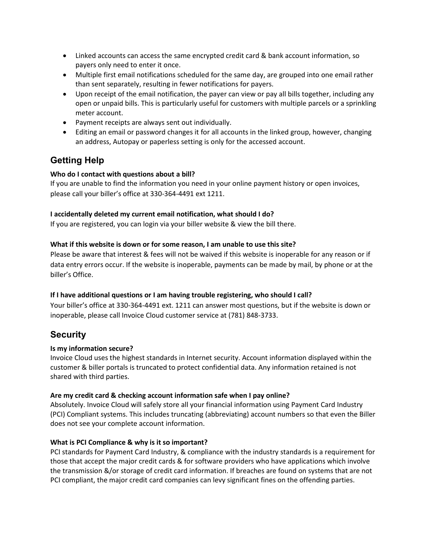- Linked accounts can access the same encrypted credit card & bank account information, so payers only need to enter it once.
- Multiple first email notifications scheduled for the same day, are grouped into one email rather than sent separately, resulting in fewer notifications for payers.
- Upon receipt of the email notification, the payer can view or pay all bills together, including any open or unpaid bills. This is particularly useful for customers with multiple parcels or a sprinkling meter account.
- Payment receipts are always sent out individually.
- Editing an email or password changes it for all accounts in the linked group, however, changing an address, Autopay or paperless setting is only for the accessed account.

## **Getting Help**

## **Who do I contact with questions about a bill?**

If you are unable to find the information you need in your online payment history or open invoices, please call your biller's office at 330-364-4491 ext 1211.

## **I accidentally deleted my current email notification, what should I do?**

If you are registered, you can login via your biller website & view the bill there.

## **What if this website is down or for some reason, I am unable to use this site?**

Please be aware that interest & fees will not be waived if this website is inoperable for any reason or if data entry errors occur. If the website is inoperable, payments can be made by mail, by phone or at the biller's Office.

## **If I have additional questions or I am having trouble registering, who should I call?**

Your biller's office at 330-364-4491 ext. 1211 can answer most questions, but if the website is down or inoperable, please call Invoice Cloud customer service at (781) 848-3733.

## **Security**

## **Is my information secure?**

Invoice Cloud uses the highest standards in Internet security. Account information displayed within the customer & biller portals is truncated to protect confidential data. Any information retained is not shared with third parties.

## **Are my credit card & checking account information safe when I pay online?**

Absolutely. Invoice Cloud will safely store all your financial information using Payment Card Industry (PCI) Compliant systems. This includes truncating (abbreviating) account numbers so that even the Biller does not see your complete account information.

## **What is PCI Compliance & why is it so important?**

PCI standards for Payment Card Industry, & compliance with the industry standards is a requirement for those that accept the major credit cards & for software providers who have applications which involve the transmission &/or storage of credit card information. If breaches are found on systems that are not PCI compliant, the major credit card companies can levy significant fines on the offending parties.